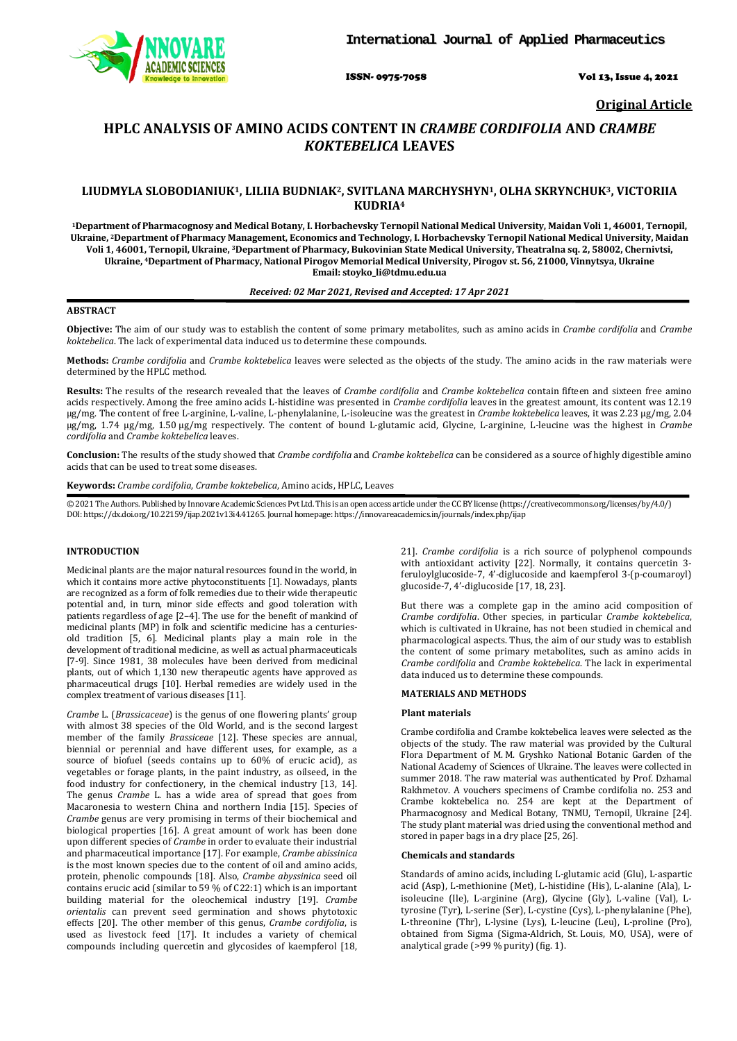

ISSN- 0975-7058 Vol 13, Issue 4, 2021

**Original Article**

# **HPLC ANALYSIS OF AMINO ACIDS CONTENT IN** *CRAMBE CORDIFOLIA* **AND** *CRAMBE KOKTEBELICA* **LEAVES**

# **LIUDMYLA SLOBODIANIUK1, LILIIA BUDNIAK2, SVITLANA MARCHYSHYN1, OLHA SKRYNCHUK3, VICTORIIA KUDRIA4**

**1Department of Pharmacognosy and Medical Botany, I. Horbachevsky Ternopil National Medical University, Maidan Voli 1, 46001, Ternopil, Ukraine, 2Department of Pharmacy Management, Economics and Technology, І. Horbachevsky Ternopil National Medical University, Maidan Voli 1, 46001, Ternopil, Ukraine, 3Department of Pharmacy, Bukovinian State Medical University, Theatralna sq. 2, 58002, Chernivtsi, Ukraine, 4 Department of Pharmacy, National Pirogov Memorial Medical University, Pirogov st. 56, 21000, Vinnytsya, Ukraine Email: stoyko\_li@tdmu.edu.ua**

### *Received: 02 Mar 2021, Revised and Accepted: 17 Apr 2021*

#### **ABSTRACT**

**Objective:** The aim of our study was to establish the content of some primary metabolites, such as amino acids in *Crambe cordifolia* and *Crambe koktebelica*. The lack of experimental data induced us to determine these compounds.

**Methods:** *Crambe cordifolia* and *Crambe koktebelica* leaves were selected as the objects of the study. The amino acids in the raw materials were determined by the HPLC method.

**Results:** The results of the research revealed that the leaves of *Crambe cordifolia* and *Crambe koktebelica* contain fifteen and sixteen free amino acids respectively. Among the free amino acids L-histidine was presented in *Crambe cordifolia* leaves in the greatest amount, its content was 12.19 µg/mg. The content of free L-arginine, L-valine, L-phenylalanine, L-isoleucine was the greatest in *Crambe koktebelica* leaves, it was 2.23 µg/mg, 2.04 µg/mg, 1.74 µg/mg, 1.50 µg/mg respectively. The content of bound L-glutamic acid, Glycine, L-arginine, L-leucine was the highest in *Crambe cordifolia* and *Crambe koktebelica* leaves.

**Conclusion:** The results of the study showed that *Crambe cordifolia* and *Crambe koktebelica* can be considered as a source of highly digestible amino acids that can be used to treat some diseases.

**Keywords:** *Crambe cordifolia*, *Crambe koktebelica*, Amino acids, HPLC, Leaves

© 2021 The Authors. Published by Innovare Academic Sciences Pvt Ltd. This is an open access article under the CC BY license [\(https://creativecommons.org/licenses/by/4.0/\)](https://creativecommons.org/licenses/by/4.0/) DOI: https://dx.doi.org/10.22159/ijap.2021v13i4.41265. Journal homepage[: https://innovareacademics.in/journals/index.php/ijap](https://innovareacademics.in/journals/index.php/ijap)

## **INTRODUCTION**

Medicinal plants are the major natural resources found in the world, in which it contains more active phytoconstituents [1]. Nowadays, plants are recognized as a form of folk remedies due to their wide therapeutic potential and, in turn, minor side effects and good toleration with patients regardless of age [2–4]. The use for the benefit of mankind of medicinal plants (MP) in folk and scientific medicine has a centuriesold tradition [5, 6]. Medicinal plants play a main role in the development of traditional medicine, as well as actual pharmaceuticals [7-9]. Since 1981, 38 molecules have been derived from medicinal plants, out of which 1,130 new therapeutic agents have approved as pharmaceutical drugs [10]. Herbal remedies are widely used in the complex treatment of various diseases [11].

*Crambe* L. (*Brassicaceae*) is the genus of one flowering plants' group with almost 38 species of the Old World, and is the second largest member of the family *Brassiceae* [12]. These species are annual, biennial or perennial and have different uses, for example, as a source of biofuel (seeds contains up to 60% of erucic acid), as vegetables or forage plants, in the paint industry, as oilseed, in the food industry for confectionery, in the chemical industry [13, 14]. The genus *Crambe* L. has a wide area of spread that goes from Macaronesia to western China and northern India [15]. Species of *Crambe* genus are very promising in terms of their biochemical and biological properties [16]. A great amount of work has been done upon different species of *Crambe* in order to evaluate their industrial and pharmaceutical importance [17]. For example, *Crambe abissinica* is the most known species due to the content of oil and amino acids, protein, phenolic compounds [18]. Also, *Crambe abyssinica* seed oil contains erucic acid (similar to 59 % of C22:1) which is an important building material for the oleochemical industry [19]. *Crambe orientalis* can prevent seed germination and shows phytotoxic effects [20]. The other member of this genus, *Crambe cordifolia*, is used as livestock feed [17]. It includes a variety of chemical compounds including quercetin and glycosides of kaempferol [18,

21]. *Crambe cordifolia* is a rich source of polyphenol compounds with antioxidant activity [22]. Normally, it contains quercetin 3 feruloylglucoside-7, 4'-diglucoside and kaempferol 3-(p-coumaroyl) glucoside-7, 4'-diglucoside [17, 18, 23].

But there was a complete gap in the amino acid composition of *Crambe cordifolia*. Other species, in particular *Crambe koktebelica*, which is cultivated in Ukraine, has not been studied in chemical and pharmacological aspects. Thus, the aim of our study was to establish the content of some primary metabolites, such as amino acids in *Crambe cordifolia* and *Crambe koktebelica*. The lack in experimental data induced us to determine these compounds.

#### **MATERIALS AND METHODS**

#### **Plant materials**

Crambe cordifolia and Crambe koktebelica leaves were selected as the objects of the study. The raw material was provided by the Cultural Flora Department of M. M. Gryshko National Botanic Garden of the National Academy of Sciences of Ukraine. The leaves were collected in summer 2018. The raw material was authenticated by Prof. Dzhamal Rakhmetov. A vouchers specimens of Crambe cordifolia no. 253 and Crambe koktebelica no. 254 are kept at the Department of Pharmacognosy and Medical Botany, TNMU, Ternopil, Ukraine [24]. The study plant material was dried using the conventional method and stored in paper bags in a dry place [25, 26].

#### **Chemicals and standards**

Standards of amino acids, including L-glutamic acid (Glu), L-aspartic acid (Asp), L-methionine (Met), L-histidine (His), L-alanine (Ala), Lisoleucine (Ile), L-arginine (Arg), Glycine (Gly), L-valine (Val), Ltyrosine (Tyr), L-serine (Ser), L-cystine (Cys), L-phenylalanine (Phe), L-threonine (Thr), L-lysine (Lys), L-leucine (Leu), L-proline (Pro), obtained from Sigma (Sigma-Aldrich, St. Louis, MO, USA), were of analytical grade (>99 % purity) (fig. 1).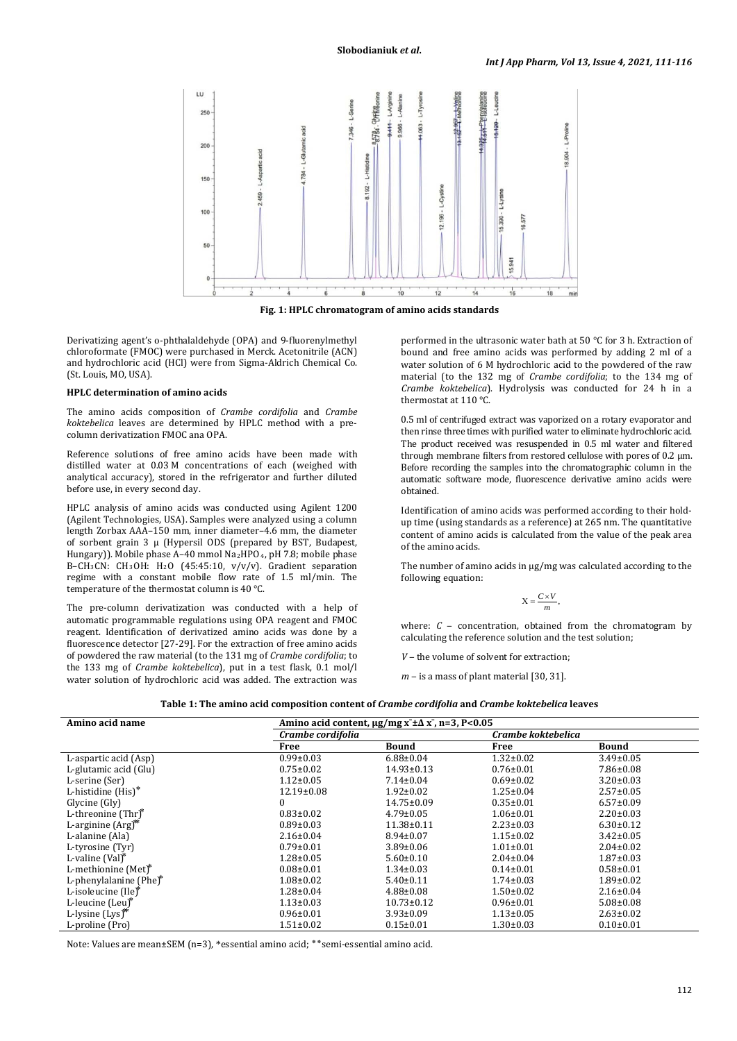

**Fig. 1: HPLC chromatogram of amino acids standards**

Derivatizing agent's o-phthalaldehyde (OPA) and 9-fluorenylmethyl chloroformate (FMOC) were purchased in Merck. Acetonitrile (ACN) and hydrochloric acid (HCl) were from Sigma-Aldrich Chemical Co. (St. Louis, MO, USA).

#### **HPLC determination of amino acids**

The amino acids composition of *Crambe cordifolia* and *Crambe koktebelica* leaves are determined by HPLC method with a precolumn derivatization FMOC ana OPA.

Reference solutions of free amino acids have been made with distilled water at 0.03 M concentrations of each (weighed with analytical accuracy), stored in the refrigerator and further diluted before use, in every second day.

HPLC analysis of аmino acids was conducted using Agilent 1200 (Agilent Technologies, USA). Samples were analyzed using a column length Zorbax AAA–150 mm, inner diameter–4.6 mm, the diameter of sorbent grain 3 µ (Hypersil ODS (prepared by BST, Budapest, Hungary)). Mobile phase A-40 mmol Na2HPO<sub>4</sub>, pH 7.8; mobile phase В–CH3CN: CH3OH: H2 O (45:45:10, v/v/v). Gradient separation regime with a constant mobile flow rate of 1.5 ml/min. The temperature of the thermostat column is 40 °C.

The pre-column derivatization was conducted with a help of automatic programmable regulations using OPA reagent and FMOC reagent. Identification of derivatized amino acids was done by a fluorescence detector [27-29]. For the extraction of free amino acids of powdered the raw material (to the 131 mg of *Crambe cordifolia*; to the 133 mg of *Crambe koktebelica*), put in a test flask, 0.1 mol/l water solution of hydrochloric acid was added. The extraction was

performed in the ultrasonic water bath at 50 °C for 3 h. Extraction of bound and free amino acids was performed by adding 2 ml of a water solution of 6 M hydrochloric acid to the powdered of the raw material (to the 132 mg of *Crambe cordifolia*; to the 134 mg of *Crambe koktebelica*). Hydrolysis was conducted for 24 h in a thermostat at 110 °C.

0.5 ml of centrifuged extract was vaporized on a rotary evaporator and then rinse three times with purified water to eliminate hydrochloric acid. The product received was resuspended in 0.5 ml water and filtered through membrane filters from restored cellulose with pores of 0.2 μm. Before recording the samples into the chromatographic column in the automatic software mode, fluorescence derivative amino acids were obtained.

Identification of amino acids was performed according to their holdup time (using standards as a reference) at 265 nm. The quantitative content of amino acids is calculated from the value of the peak area of the amino acids.

The number of amino acids in µg/mg was calculated according to the following equation:

$$
X = \frac{C \times V}{m},
$$

where:  $C$  – concentration, obtained from the chromatogram by calculating the reference solution and the test solution;

*V* – the volume of solvent for extraction:

 $m -$  is a mass of plant material [30, 31].

| Table 1: The amino acid composition content of <i>Crambe cordifolia</i> and <i>Crambe koktebelica</i> leaves |
|--------------------------------------------------------------------------------------------------------------|
|                                                                                                              |

| Amino acid name                | Amino acid content, $\mu$ g/mg x ± $\Delta$ x, n=3, P<0.05 |                  |                    |                 |
|--------------------------------|------------------------------------------------------------|------------------|--------------------|-----------------|
|                                | Crambe cordifolia                                          |                  | Crambe koktebelica |                 |
|                                | Free                                                       | Bound            | Free               | <b>Bound</b>    |
| L-aspartic acid (Asp)          | $0.99 \pm 0.03$                                            | $6.88 \pm 0.04$  | $1.32 \pm 0.02$    | $3.49 \pm 0.05$ |
| L-glutamic acid (Glu)          | $0.75 \pm 0.02$                                            | $14.93 \pm 0.13$ | $0.76 \pm 0.01$    | $7.86 \pm 0.08$ |
| L-serine (Ser)                 | $1.12 \pm 0.05$                                            | $7.14 \pm 0.04$  | $0.69 \pm 0.02$    | $3.20 \pm 0.03$ |
| L-histidine (His)*             | $12.19 \pm 0.08$                                           | $1.92 \pm 0.02$  | $1.25 \pm 0.04$    | $2.57 \pm 0.05$ |
| Glycine (Gly)                  | 0                                                          | $14.75 \pm 0.09$ | $0.35 \pm 0.01$    | $6.57 \pm 0.09$ |
| L-threonine (Thr)              | $0.83 \pm 0.02$                                            | $4.79 \pm 0.05$  | $1.06 \pm 0.01$    | $2.20 \pm 0.03$ |
| L-arginine (Arg) <sup>**</sup> | $0.89 \pm 0.03$                                            | $11.38 \pm 0.11$ | $2.23 \pm 0.03$    | $6.30 \pm 0.12$ |
| L-alanine (Ala)                | $2.16 \pm 0.04$                                            | $8.94 \pm 0.07$  | $1.15 \pm 0.02$    | $3.42 \pm 0.05$ |
| L-tyrosine (Tyr)               | $0.79 \pm 0.01$                                            | $3.89 \pm 0.06$  | $1.01 \pm 0.01$    | $2.04 \pm 0.02$ |
| L-valine (Val)*                | $1.28 \pm 0.05$                                            | $5.60 \pm 0.10$  | $2.04 \pm 0.04$    | $1.87 \pm 0.03$ |
| L-methionine (Met)*            | $0.08 \pm 0.01$                                            | $1.34 \pm 0.03$  | $0.14 \pm 0.01$    | $0.58 + 0.01$   |
| L-phenylalanine (Phe)*         | $1.08 \pm 0.02$                                            | $5.40 \pm 0.11$  | $1.74 \pm 0.03$    | $1.89 \pm 0.02$ |
| L-isoleucine (Ile)*            | $1.28 \pm 0.04$                                            | $4.88 \pm 0.08$  | $1.50 \pm 0.02$    | $2.16 \pm 0.04$ |
| L-leucine (Leu)*               | $1.13 \pm 0.03$                                            | $10.73 \pm 0.12$ | $0.96 \pm 0.01$    | $5.08 \pm 0.08$ |
| L-lysine (Lys) <sup>**</sup>   | $0.96 \pm 0.01$                                            | $3.93 \pm 0.09$  | $1.13 \pm 0.05$    | $2.63 \pm 0.02$ |
| L-proline (Pro)                | $1.51 \pm 0.02$                                            | $0.15 \pm 0.01$  | $1.30 \pm 0.03$    | $0.10 \pm 0.01$ |

Note: Values are mean±SEM (n=3), \*essential amino acid; ٭٭semi-essential amino acid.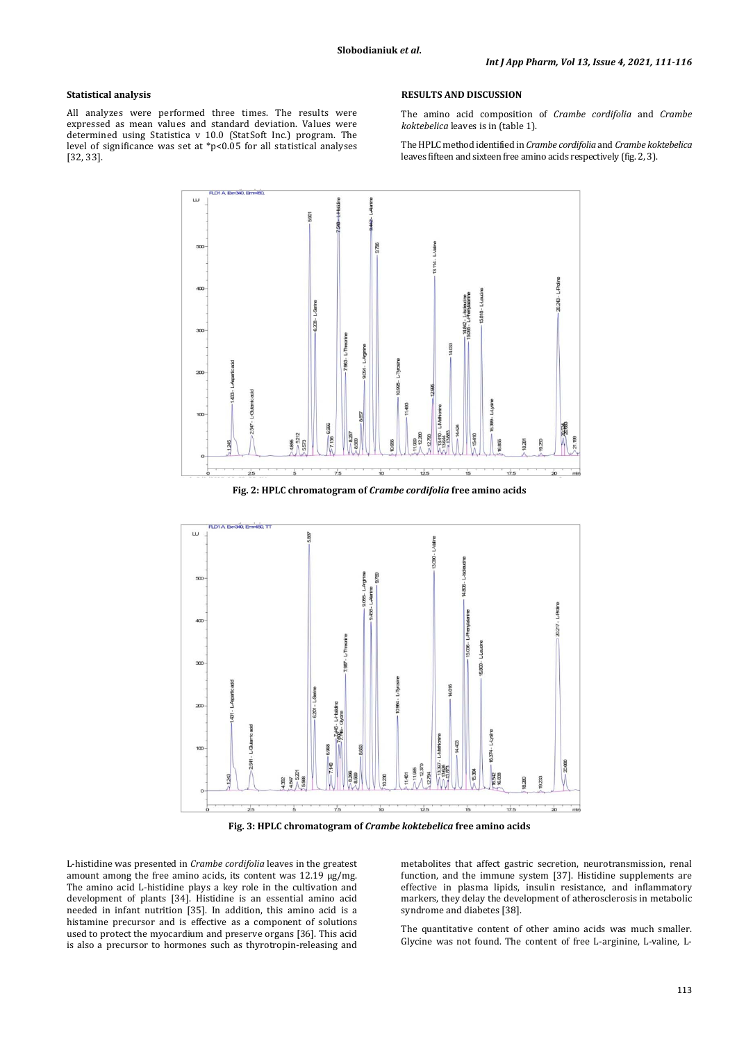#### **Statistical analysis**

All analyzes were performed three times. The results were expressed as mean values and standard deviation. Values were determined using Statistica v 10.0 (StatSoft Inc.) program. The level of significance was set at \*p<0.05 for all statistical analyses [32, 33].

#### **RESULTS AND DISCUSSION**

The amino acid composition of *Crambe cordifolia* and *Crambe koktebelica* leaves is in (table 1).

The HPLC method identified in *Crambe cordifolia* and *Crambe koktebelica* leaves fifteen and sixteen free amino acids respectively (fig. 2, 3).



**Fig. 2: HPLC chromatogram of** *Crambe cordifolia* **free amino acids**



**Fig. 3: HPLC chromatogram of** *Crambe koktebelica* **free amino acids**

L-histidine was presented in *Crambe cordifolia* leaves in the greatest amount among the free amino acids, its content was 12.19 µg/mg. The amino acid L-histidine plays a key role in the cultivation and development of plants [34]. Histidine is an essential amino acid needed in infant nutrition [35]. In addition, this amino acid is a histamine precursor and is effective as a component of solutions used to protect the myocardium and preserve organs [36]. This acid is also a precursor to hormones such as thyrotropin-releasing and metabolites that affect gastric secretion, neurotransmission, renal function, and the immune system [37]. Histidine supplements are effective in plasma lipids, insulin resistance, and inflammatory markers, they delay the development of atherosclerosis in metabolic syndrome and diabetes [38].

The quantitative content of other amino acids was much smaller. Glycine was not found. The content of free L-arginine, L-valine, L-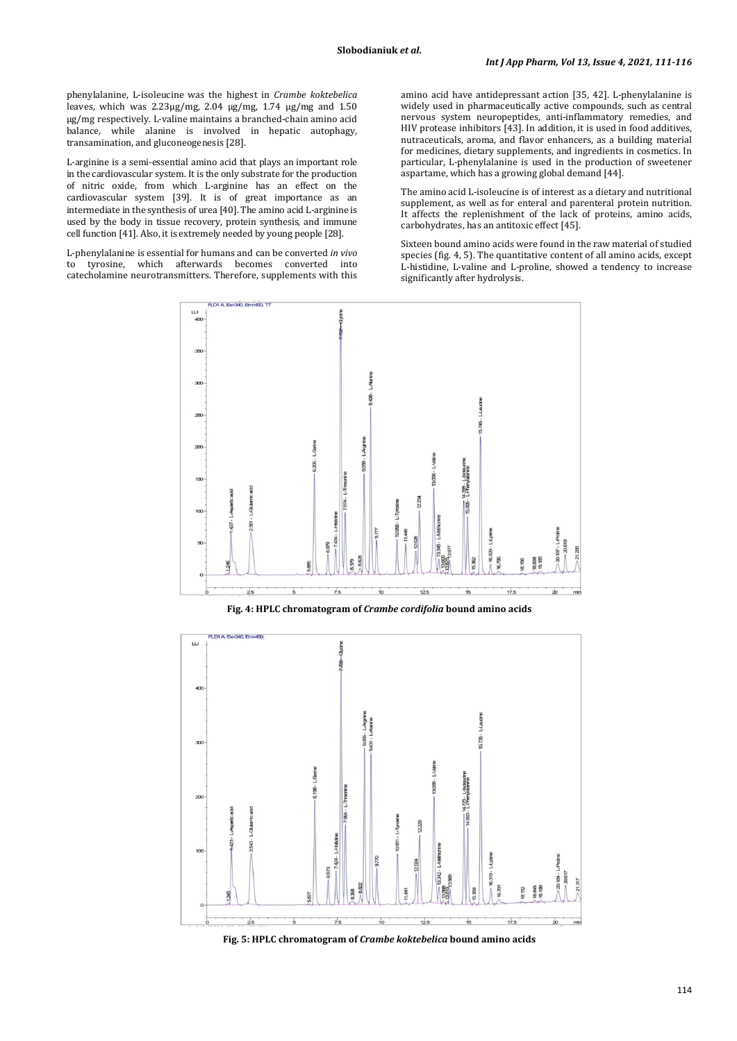phenylalanine, L-isoleucine was the highest in *Crambe koktebelica* leaves, which was 2.23µg/mg, 2.04 µg/mg, 1.74 µg/mg and 1.50 µg/mg respectively. L-valine maintains a branched-chain amino acid balance, while alanine is involved in hepatic autophagy, transamination, and gluconeogenesis [28].

L-arginine is a semi-essential amino acid that plays an important role in the cardiovascular system. It is the only substrate for the production of nitric oxide, from which L-arginine has an effect on the cardiovascular system [39]. It is of great importance as an intermediate in the synthesis of urea [40]. The amino acid L-arginine is used by the body in tissue recovery, protein synthesis, and immune cell function [41]. Also, it is extremely needed by young people [28].

L-phenylalanine is essential for humans and can be converted *in vivo* to tyrosine, which afterwards becomes converted into catecholamine neurotransmitters. Therefore, supplements with this amino acid have antidepressant action [35, 42]. L-phenylalanine is widely used in pharmaceutically active compounds, such as central nervous system neuropeptides, anti-inflammatory remedies, and HIV protease inhibitors [43]. In addition, it is used in food additives, nutraceuticals, aroma, and flavor enhancers, as a building material for medicines, dietary supplements, and ingredients in cosmetics. In particular, L-phenylalanine is used in the production of sweetener aspartame, which has a growing global demand [44].

The amino acid L-isoleucine is of interest as a dietary and nutritional supplement, as well as for enteral and parenteral protein nutrition. It affects the replenishment of the lack of proteins, amino acids, carbohydrates, has an antitoxic effect [45].

Sixteen bound amino acids were found in the raw material of studied species (fig. 4, 5). The quantitative content of all amino acids, except L-histidine, L-valine and L-proline, showed a tendency to increase significantly after hydrolysis.



**Fig. 4: HPLC chromatogram of** *Crambe cordifolia* **bound amino acids**



**Fig. 5: HPLC chromatogram of** *Crambe koktebelica* **bound amino acids**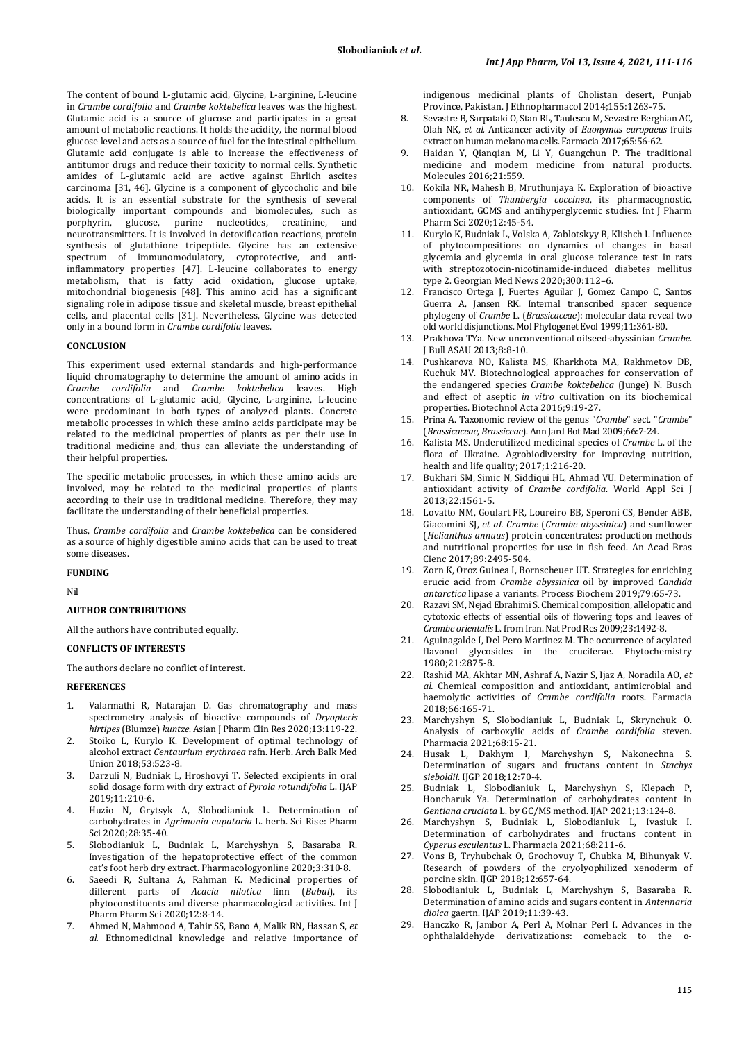The content of bound L-glutamic acid, Glycine, L-arginine, L-leucine in *Crambe cordifolia* and *Crambe koktebelica* leaves was the highest. Glutamic acid is a source of glucose and participates in a great amount of metabolic reactions. It holds the acidity, the normal blood glucose level and acts as a source of fuel for the intestinal epithelium. Glutamic acid conjugate is able to increase the effectiveness of antitumor drugs and reduce their toxicity to normal cells. Synthetic amides of L-glutamic acid are active against Ehrlich ascites carcinoma [31, 46]. Glycine is a component of glycocholic and bile acids. It is an essential substrate for the synthesis of several biologically important compounds and biomolecules, such as porphyrin, glucose, purine nucleotides, creatinine, and neurotransmitters. It is involved in detoxification reactions, protein synthesis of glutathione tripeptide. Glycine has an extensive spectrum of immunomodulatory, cytoprotective, and antiinflammatory properties [47]. L-leucine collaborates to energy metabolism, that is fatty acid oxidation, glucose uptake, mitochondrial biogenesis [48]. This amino acid has a significant signaling role in adipose tissue and skeletal muscle, breast epithelial cells, and placental cells [31]. Nevertheless, Glycine was detected only in a bound form in *Crambe cordifolia* leaves.

#### **CONCLUSION**

This experiment used external standards and high-performance liquid chromatography to determine the amount of amino acids in *Crambe cordifolia* and *Crambe koktebelica* leaves. High concentrations of L-glutamic acid, Glycine, L-arginine, L-leucine were predominant in both types of analyzed plants. Concrete metabolic processes in which these amino acids participate may be related to the medicinal properties of plants as per their use in traditional medicine and, thus can alleviate the understanding of their helpful properties.

The specific metabolic processes, in which these amino acids are involved, may be related to the medicinal properties of plants according to their use in traditional medicine. Therefore, they may facilitate the understanding of their beneficial properties.

Thus, *Crambe cordifolia* and *Crambe koktebelica* can be considered as a source of highly digestible amino acids that can be used to treat some diseases.

#### **FUNDING**

Nil

#### **AUTHOR CONTRIBUTIONS**

All the authors have contributed equally.

# **CONFLICTS OF INTERESTS**

The authors declare no conflict of interest.

#### **REFERENCES**

- 1. Valarmathi R, Natarajan D. Gas chromatography and mass spectrometry analysis of bioactive compounds of *Dryopteris hirtipes* (Blumze) *kuntze*. Asian J Pharm Clin Res 2020;13:119-22.
- 2. Stoiko L, Kurylo K. Development of optimal technology of alcohol extract *Centaurium erythraea* rafn. Herb. Arch Balk Med Union 2018;53:523-8.
- 3. Darzuli N, Budniak L, Hroshovyi T. Selected excipients in oral solid dosage form with dry extract of *Pyrola rotundifolia* L. IJAP 2019;11:210-6.
- 4. Huzio N, Grytsyk A, Slobodianiuk L. Determination of carbohydrates in *Agrimonia eupatoria* L. herb. Sci Rise: Pharm Sci 2020;28:35-40.
- 5. Slobodianiuk L, Budniak L, Marchyshyn S, Basaraba R. Investigation of the hepatoprotective effect of the common cat's foot herb dry extract. Pharmacologyonline 2020;3:310-8.
- 6. Saeedi R, Sultana A, Rahman K. Medicinal properties of different parts of *Acacia nilotica* linn (*Babul*), its phytoconstituents and diverse pharmacological activities. Int J Pharm Pharm Sci 2020;12:8-14.
- 7. Ahmed N, Mahmood A, Tahir SS, Bano A, Malik RN, Hassan S, *et al.* Ethnomedicinal knowledge and relative importance of

indigenous medicinal plants of Cholistan desert, Punjab Province, Pakistan. J Ethnopharmacol 2014;155:1263-75.

- 8. Sevastre B, Sarpataki O, Stan RL, Taulescu M, Sevastre Berghian AC, Olah NK, *et al.* Anticancer activity of *Euonymus europaeus* fruits extract on human melanoma cells. Farmacia 2017;65:56-62.
- 9. Haidan Y, Qianqian M, Li Y, Guangchun P. The traditional medicine and modern medicine from natural products. Molecules 2016;21:559.
- 10. Kokila NR, Mahesh B, Mruthunjaya K. Exploration of bioactive components of *Thunbergia coccinea*, its pharmacognostic, antioxidant, GCMS and antihyperglycemic studies. Int J Pharm Pharm Sci 2020;12:45-54.
- 11. Kurylo K, Budniak L, Volska A, Zablotskyy B, Klishch I. Influence of phytocompositions on dynamics of changes in basal glycemia and glycemia in oral glucose tolerance test in rats with streptozotocin-nicotinamide-induced diabetes mellitus type 2. Georgian Med News 2020;300:112–6.
- 12. Francisco Ortega J, Fuertes Aguilar J, Gomez Campo C, Santos Guerra A, Jansen RK. Internal transcribed spacer sequence phylogeny of *Crambe* L. (*Brassicaceae*): molecular data reveal two old world disjunctions. Mol Phylogenet Evol 1999;11:361-80.
- 13. Prakhova TYa. New unconventional oilseed-abyssinian *Crambe*. J Bull ASAU 2013;8:8-10.
- 14. Pushkarova NO, Kalista MS, Kharkhota MA, Rakhmetov DB, Kuchuk MV. Biotechnological approaches for conservation of the endangered species *Crambe koktebelica* (Junge) N. Busch and effect of aseptic *in vitro* cultivation on its biochemical properties. Biotechnol Acta 2016;9:19-27.
- 15. Prina A. Taxonomic review of the genus "*Crambe*" sect. "*Crambe*" (*Brassicaceae*, *Brassiceae*). Ann Jard Bot Mad 2009;66:7-24.
- 16. Kalista MS. Underutilized medicinal species of *Crambe* L. of the flora of Ukraine. Agrobiodiversity for improving nutrition, health and life quality; 2017;1:216-20.
- 17. Bukhari SM, Simic N, Siddiqui HL, Ahmad VU. Determination of antioxidant activity of *Crambe cordifolia*. World Appl Sci J 2013;22:1561-5.
- 18. Lovatto NM, Goulart FR, Loureiro BB, Speroni CS, Bender ABB, Giacomini SJ, *et al. Crambe* (*Crambe abyssinica*) and sunflower (*Helianthus annuus*) protein concentrates: production methods and nutritional properties for use in fish feed. An Acad Bras Cienc 2017;89:2495-504.
- 19. Zorn K, Oroz Guinea I, Bornscheuer UT. Strategies for enriching erucic acid from *Crambe abyssinica* oil by improved *Candida antarctica* lipase a variants. Process Biochem 2019;79:65-73.
- 20. Razavi SM, Nejad Ebrahimi S. Chemical composition, allelopatic and cytotoxic effects of essential oils of flowering tops and leaves of *Crambe orientalis* L. from Iran.Nat Prod Res 2009;23:1492-8.
- 21. Aguinagalde I, Del Pero Martinez M. The occurrence of acylated flavonol glycosides in the cruciferae. Phytochemistry 1980;21:2875-8.
- 22. Rashid MA, Akhtar MN, Ashraf A, Nazir S, Ijaz A, Noradila AO, *et al.* Chemical composition and antioxidant, antimicrobial and haemolytic activities of *Crambe cordifolia* roots. Farmacia 2018;66:165-71.
- 23. Marchyshyn S, Slobodianiuk L, Budniak L, Skrynchuk O. Analysis of carboxylic acids of *Crambe cordifolia* steven. Pharmacia 2021;68:15-21.
- 24. Husak L, Dakhym I, Marchyshyn S, Nakonechna S. Determination of sugars and fructans content in *Stachys sieboldii*. IJGP 2018;12:70-4.
- 25. Budniak L, Slobodianiuk L, Marchyshyn S, Klepach P, Honcharuk Ya. Determination of carbohydrates content in *Gentiana cruciata* L. by GC/MS method. IJAP 2021;13:124-8.
- 26. Marchyshyn S, Budniak L, Slobodianiuk L, Ivasiuk I. Determination of carbohydrates and fructans content in *Cyperus esculentus* L. Pharmacia 2021;68:211-6.
- 27. Vons B, Tryhubchak O, Grochovuy T, Chubka M, Bihunyak V. Research of powders of the cryolyophilized xenoderm of porcine skin. IJGP 2018;12:657-64.
- 28. Slobodianiuk L, Budniak L, Marchyshyn S, Basaraba R. Determination of amino acids and sugars content in *Antennaria dioica* gaertn. IJAP 2019;11:39-43.
- 29. Hanczko R, Jambor A, Perl A, Molnar Perl I. Advances in the ophthalaldehyde derivatizations: comeback to the o-